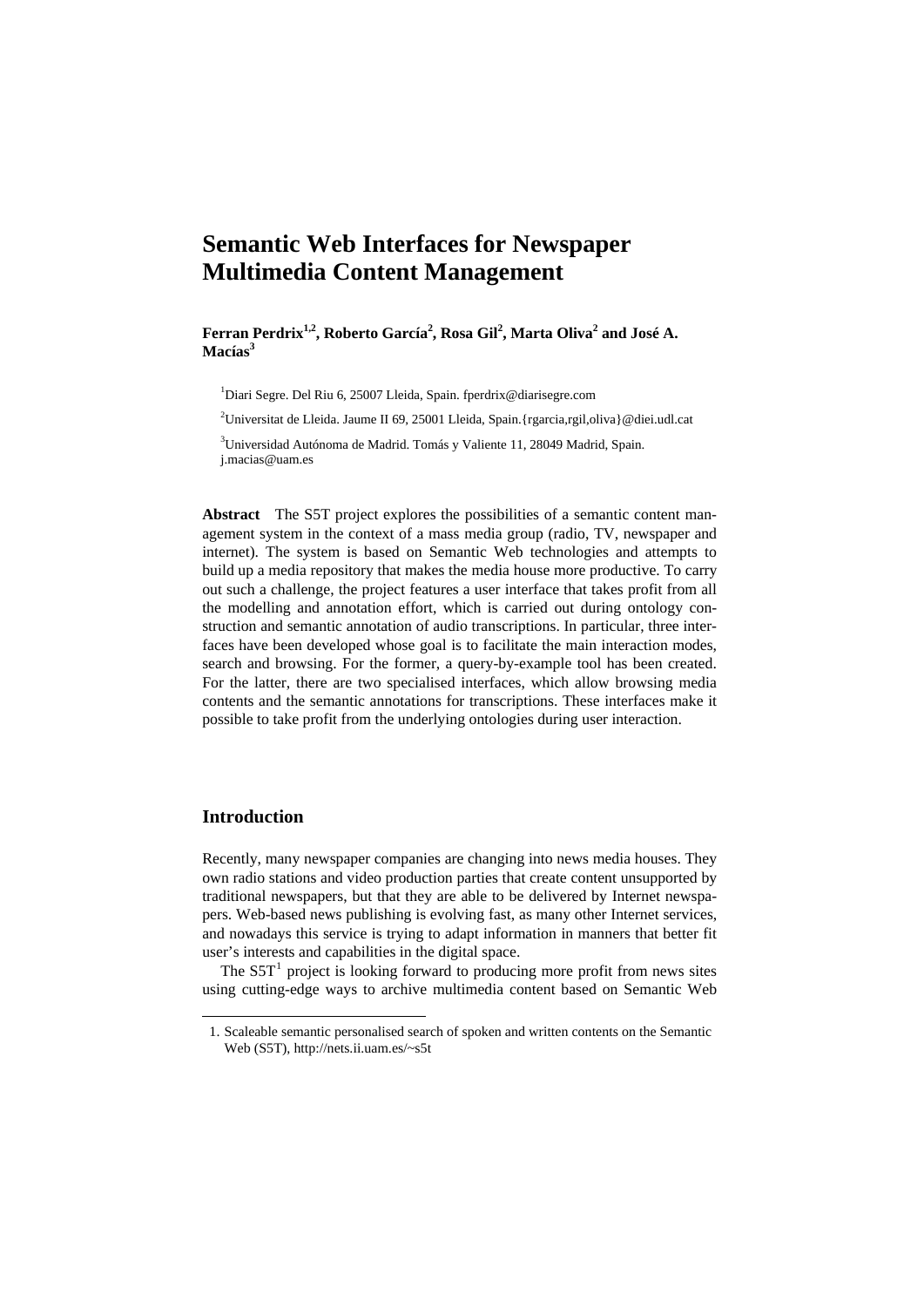# **Semantic Web Interfaces for Newspaper Multimedia Content Management**

 $\mathbf{F}$ erran Perdrix $^{1,2}$ , Roberto García<sup>2</sup>, Rosa Gil<sup>2</sup>, Marta Oliva $^2$  and José A. **Macías<sup>3</sup>**

1 Diari Segre. Del Riu 6, 25007 Lleida, Spain. fperdrix@diarisegre.com

<sup>2</sup>Universitat de Lleida. Jaume II 69, 25001 Lleida, Spain. {rgarcia,rgil,oliva}@diei.udl.cat

<sup>3</sup>Universidad Autónoma de Madrid. Tomás y Valiente 11, 28049 Madrid, Spain. j.macias@uam.es

**Abstract** The S5T project explores the possibilities of a semantic content management system in the context of a mass media group (radio, TV, newspaper and internet). The system is based on Semantic Web technologies and attempts to build up a media repository that makes the media house more productive. To carry out such a challenge, the project features a user interface that takes profit from all the modelling and annotation effort, which is carried out during ontology construction and semantic annotation of audio transcriptions. In particular, three interfaces have been developed whose goal is to facilitate the main interaction modes, search and browsing. For the former, a query-by-example tool has been created. For the latter, there are two specialised interfaces, which allow browsing media contents and the semantic annotations for transcriptions. These interfaces make it possible to take profit from the underlying ontologies during user interaction.

## **Introduction**

l

Recently, many newspaper companies are changing into news media houses. They own radio stations and video production parties that create content unsupported by traditional newspapers, but that they are able to be delivered by Internet newspapers. Web-based news publishing is evolving fast, as many other Internet services, and nowadays this service is trying to adapt information in manners that better fit user's interests and capabilities in the digital space.

The  $S5T<sup>1</sup>$  project is looking forward to producing more profit from news sites using cutting-edge ways to archive multimedia content based on Semantic Web

 <sup>1.</sup> Scaleable semantic personalised search of spoken and written contents on the Semantic Web (S5T), http://nets.ii.uam.es/~s5t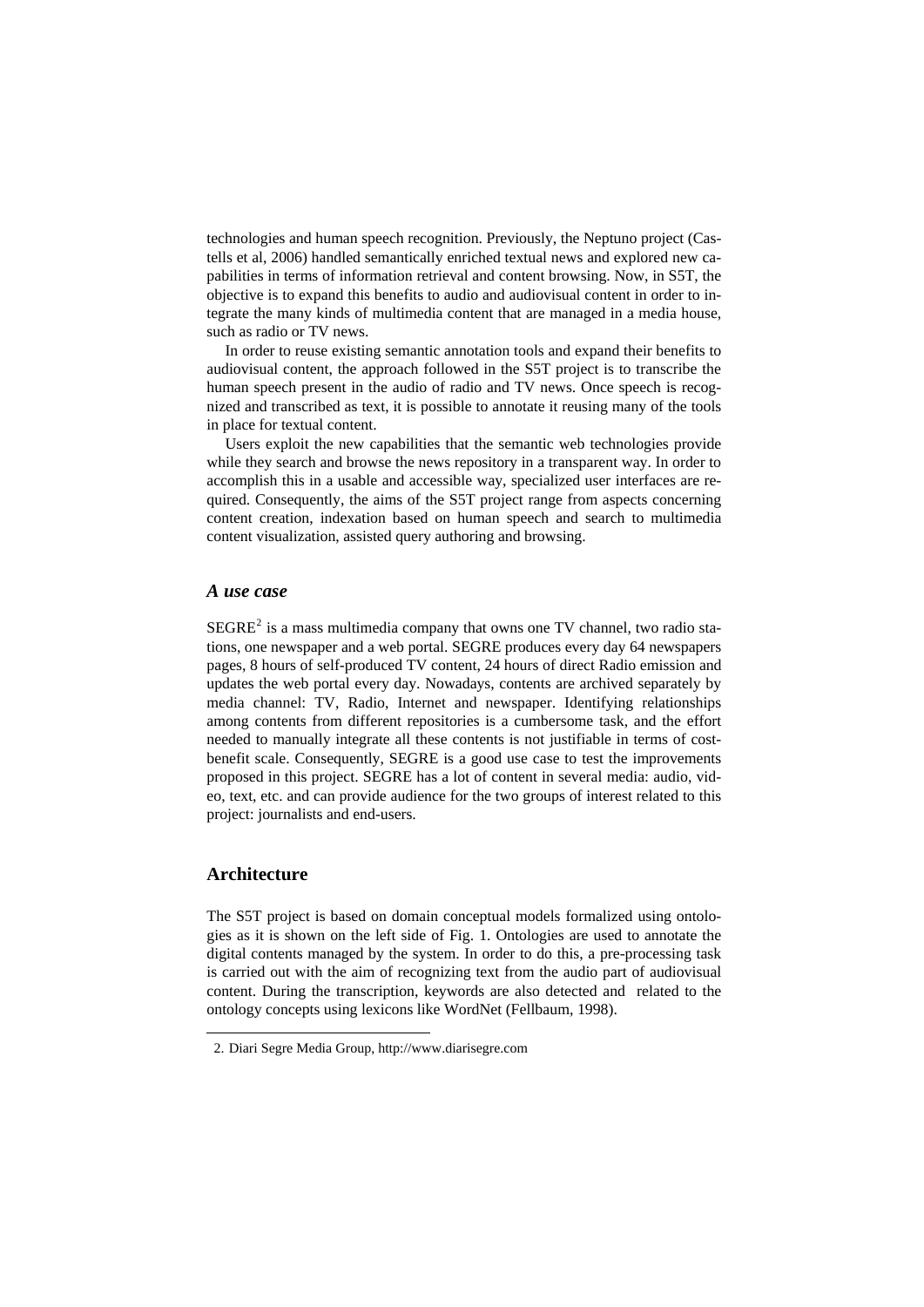technologies and human speech recognition. Previously, the Neptuno project (Castells et al, 2006) handled semantically enriched textual news and explored new capabilities in terms of information retrieval and content browsing. Now, in S5T, the objective is to expand this benefits to audio and audiovisual content in order to integrate the many kinds of multimedia content that are managed in a media house, such as radio or TV news.

In order to reuse existing semantic annotation tools and expand their benefits to audiovisual content, the approach followed in the S5T project is to transcribe the human speech present in the audio of radio and TV news. Once speech is recognized and transcribed as text, it is possible to annotate it reusing many of the tools in place for textual content.

Users exploit the new capabilities that the semantic web technologies provide while they search and browse the news repository in a transparent way. In order to accomplish this in a usable and accessible way, specialized user interfaces are required. Consequently, the aims of the S5T project range from aspects concerning content creation, indexation based on human speech and search to multimedia content visualization, assisted query authoring and browsing.

## *A use case*

 $SEGRE<sup>2</sup>$  is a mass multimedia company that owns one TV channel, two radio stations, one newspaper and a web portal. SEGRE produces every day 64 newspapers pages, 8 hours of self-produced TV content, 24 hours of direct Radio emission and updates the web portal every day. Nowadays, contents are archived separately by media channel: TV, Radio, Internet and newspaper. Identifying relationships among contents from different repositories is a cumbersome task, and the effort needed to manually integrate all these contents is not justifiable in terms of costbenefit scale. Consequently, SEGRE is a good use case to test the improvements proposed in this project. SEGRE has a lot of content in several media: audio, video, text, etc. and can provide audience for the two groups of interest related to this project: journalists and end-users.

## **Architecture**

 $\overline{a}$ 

The S5T project is based on domain conceptual models formalized using ontologies as it is shown on the left side of Fig. 1. Ontologies are used to annotate the digital contents managed by the system. In order to do this, a pre-processing task is carried out with the aim of recognizing text from the audio part of audiovisual content. During the transcription, keywords are also detected and related to the ontology concepts using lexicons like WordNet (Fellbaum, 1998).

 <sup>2.</sup> Diari Segre Media Group, http://www.diarisegre.com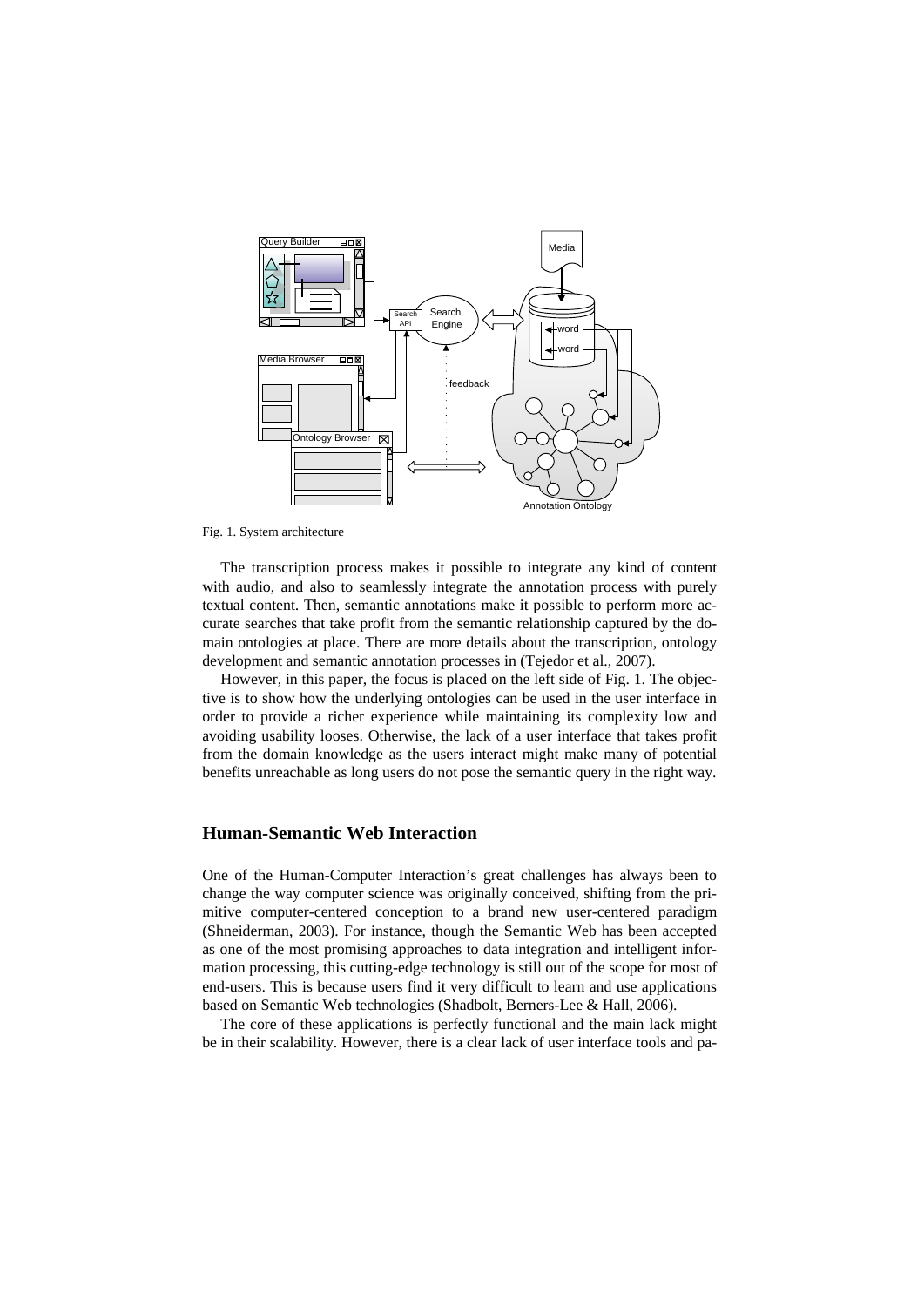

Fig. 1. System architecture

The transcription process makes it possible to integrate any kind of content with audio, and also to seamlessly integrate the annotation process with purely textual content. Then, semantic annotations make it possible to perform more accurate searches that take profit from the semantic relationship captured by the domain ontologies at place. There are more details about the transcription, ontology development and semantic annotation processes in (Tejedor et al., 2007).

However, in this paper, the focus is placed on the left side of Fig. 1. The objective is to show how the underlying ontologies can be used in the user interface in order to provide a richer experience while maintaining its complexity low and avoiding usability looses. Otherwise, the lack of a user interface that takes profit from the domain knowledge as the users interact might make many of potential benefits unreachable as long users do not pose the semantic query in the right way.

#### **Human-Semantic Web Interaction**

One of the Human-Computer Interaction's great challenges has always been to change the way computer science was originally conceived, shifting from the primitive computer-centered conception to a brand new user-centered paradigm (Shneiderman, 2003). For instance, though the Semantic Web has been accepted as one of the most promising approaches to data integration and intelligent information processing, this cutting-edge technology is still out of the scope for most of end-users. This is because users find it very difficult to learn and use applications based on Semantic Web technologies (Shadbolt, Berners-Lee & Hall, 2006).

The core of these applications is perfectly functional and the main lack might be in their scalability. However, there is a clear lack of user interface tools and pa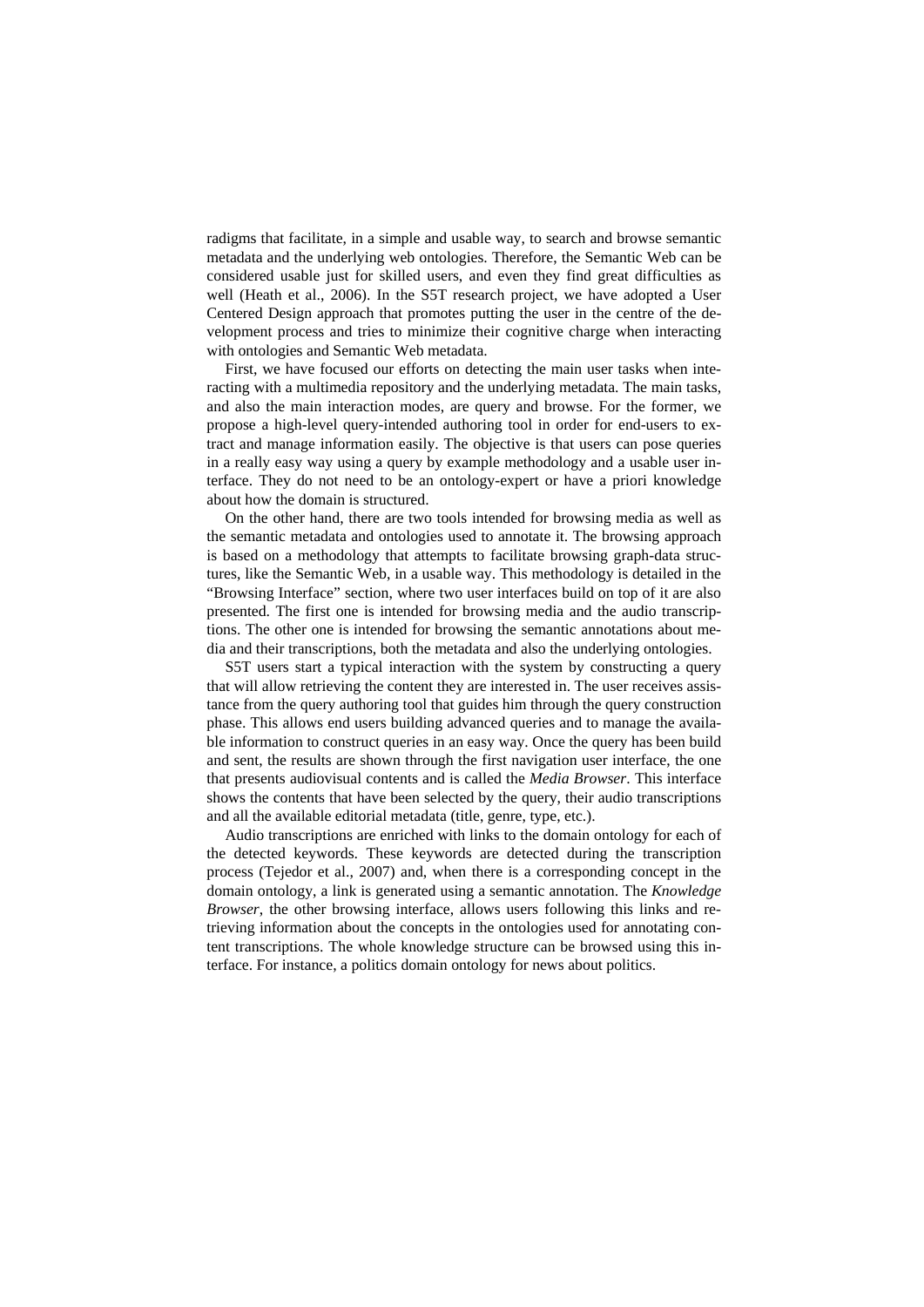radigms that facilitate, in a simple and usable way, to search and browse semantic metadata and the underlying web ontologies. Therefore, the Semantic Web can be considered usable just for skilled users, and even they find great difficulties as well (Heath et al., 2006). In the S5T research project, we have adopted a User Centered Design approach that promotes putting the user in the centre of the development process and tries to minimize their cognitive charge when interacting with ontologies and Semantic Web metadata.

First, we have focused our efforts on detecting the main user tasks when interacting with a multimedia repository and the underlying metadata. The main tasks, and also the main interaction modes, are query and browse. For the former, we propose a high-level query-intended authoring tool in order for end-users to extract and manage information easily. The objective is that users can pose queries in a really easy way using a query by example methodology and a usable user interface. They do not need to be an ontology-expert or have a priori knowledge about how the domain is structured.

On the other hand, there are two tools intended for browsing media as well as the semantic metadata and ontologies used to annotate it. The browsing approach is based on a methodology that attempts to facilitate browsing graph-data structures, like the Semantic Web, in a usable way. This methodology is detailed in the "Browsing Interface" section, where two user interfaces build on top of it are also presented. The first one is intended for browsing media and the audio transcriptions. The other one is intended for browsing the semantic annotations about media and their transcriptions, both the metadata and also the underlying ontologies.

S5T users start a typical interaction with the system by constructing a query that will allow retrieving the content they are interested in. The user receives assistance from the query authoring tool that guides him through the query construction phase. This allows end users building advanced queries and to manage the available information to construct queries in an easy way. Once the query has been build and sent, the results are shown through the first navigation user interface, the one that presents audiovisual contents and is called the *Media Browser*. This interface shows the contents that have been selected by the query, their audio transcriptions and all the available editorial metadata (title, genre, type, etc.).

Audio transcriptions are enriched with links to the domain ontology for each of the detected keywords. These keywords are detected during the transcription process (Tejedor et al., 2007) and, when there is a corresponding concept in the domain ontology, a link is generated using a semantic annotation. The *Knowledge Browser*, the other browsing interface, allows users following this links and retrieving information about the concepts in the ontologies used for annotating content transcriptions. The whole knowledge structure can be browsed using this interface. For instance, a politics domain ontology for news about politics.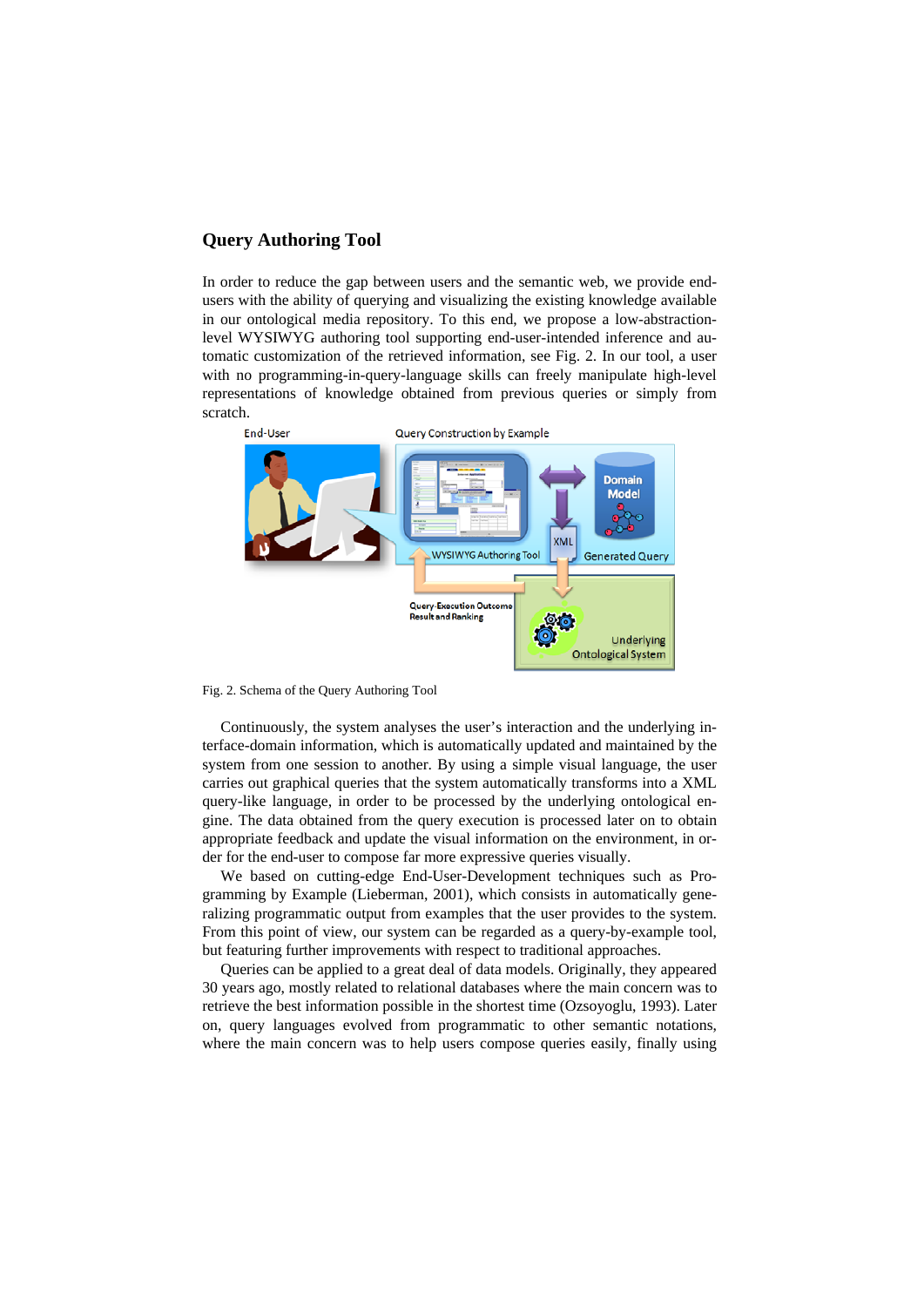## **Query Authoring Tool**

In order to reduce the gap between users and the semantic web, we provide endusers with the ability of querying and visualizing the existing knowledge available in our ontological media repository. To this end, we propose a low-abstractionlevel WYSIWYG authoring tool supporting end-user-intended inference and automatic customization of the retrieved information, see Fig. 2. In our tool, a user with no programming-in-query-language skills can freely manipulate high-level representations of knowledge obtained from previous queries or simply from scratch.



Fig. 2. Schema of the Query Authoring Tool

Continuously, the system analyses the user's interaction and the underlying interface-domain information, which is automatically updated and maintained by the system from one session to another. By using a simple visual language, the user carries out graphical queries that the system automatically transforms into a XML query-like language, in order to be processed by the underlying ontological engine. The data obtained from the query execution is processed later on to obtain appropriate feedback and update the visual information on the environment, in order for the end-user to compose far more expressive queries visually.

We based on cutting-edge End-User-Development techniques such as Programming by Example (Lieberman, 2001), which consists in automatically generalizing programmatic output from examples that the user provides to the system. From this point of view, our system can be regarded as a query-by-example tool, but featuring further improvements with respect to traditional approaches.

Queries can be applied to a great deal of data models. Originally, they appeared 30 years ago, mostly related to relational databases where the main concern was to retrieve the best information possible in the shortest time (Ozsoyoglu, 1993). Later on, query languages evolved from programmatic to other semantic notations, where the main concern was to help users compose queries easily, finally using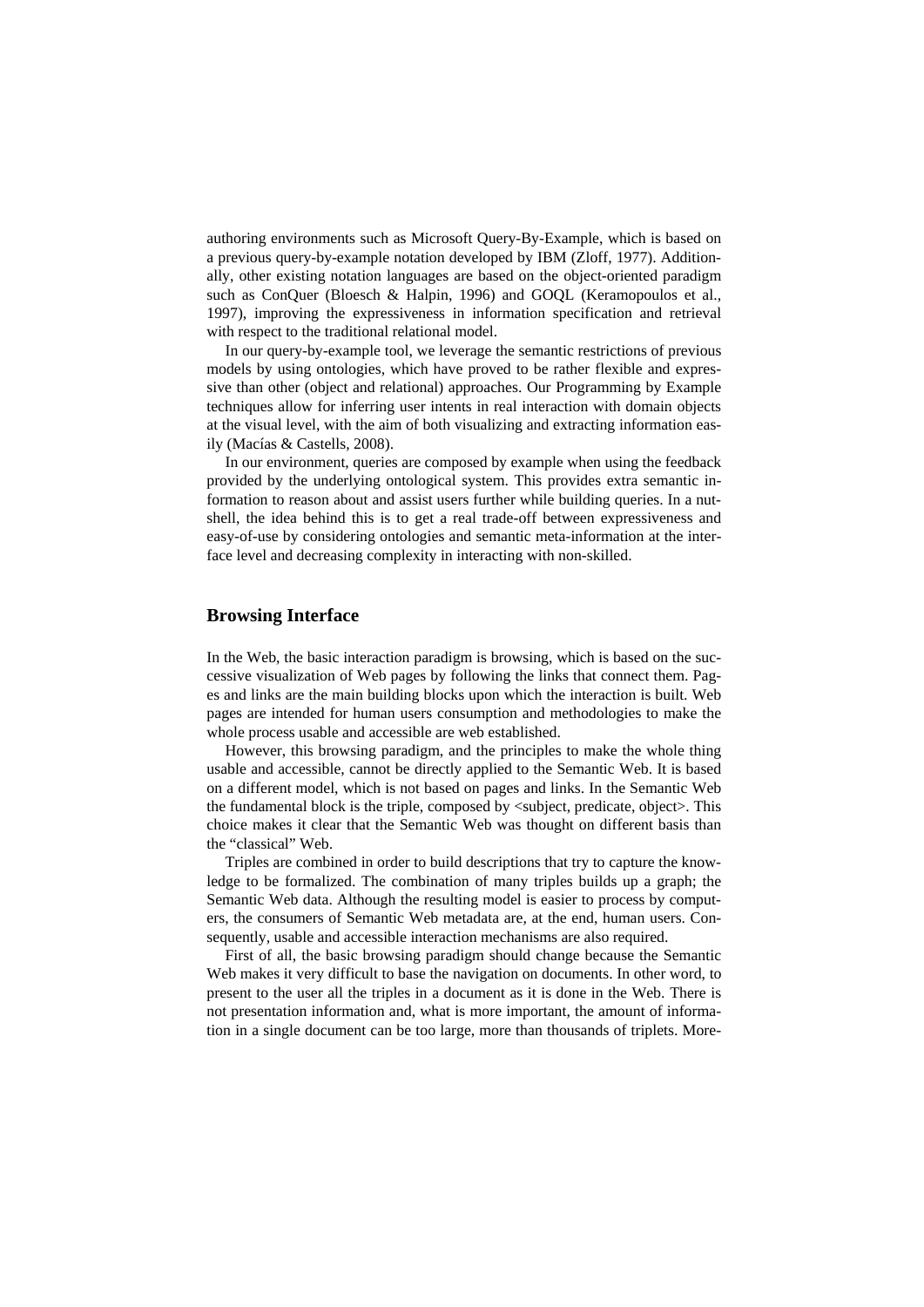authoring environments such as Microsoft Query-By-Example, which is based on a previous query-by-example notation developed by IBM (Zloff, 1977). Additionally, other existing notation languages are based on the object-oriented paradigm such as ConQuer (Bloesch & Halpin, 1996) and GOQL (Keramopoulos et al., 1997), improving the expressiveness in information specification and retrieval with respect to the traditional relational model.

In our query-by-example tool, we leverage the semantic restrictions of previous models by using ontologies, which have proved to be rather flexible and expressive than other (object and relational) approaches. Our Programming by Example techniques allow for inferring user intents in real interaction with domain objects at the visual level, with the aim of both visualizing and extracting information easily (Macías & Castells, 2008).

In our environment, queries are composed by example when using the feedback provided by the underlying ontological system. This provides extra semantic information to reason about and assist users further while building queries. In a nutshell, the idea behind this is to get a real trade-off between expressiveness and easy-of-use by considering ontologies and semantic meta-information at the interface level and decreasing complexity in interacting with non-skilled.

#### **Browsing Interface**

In the Web, the basic interaction paradigm is browsing, which is based on the successive visualization of Web pages by following the links that connect them. Pages and links are the main building blocks upon which the interaction is built. Web pages are intended for human users consumption and methodologies to make the whole process usable and accessible are web established.

However, this browsing paradigm, and the principles to make the whole thing usable and accessible, cannot be directly applied to the Semantic Web. It is based on a different model, which is not based on pages and links. In the Semantic Web the fundamental block is the triple, composed by <subject, predicate, object>. This choice makes it clear that the Semantic Web was thought on different basis than the "classical" Web.

Triples are combined in order to build descriptions that try to capture the knowledge to be formalized. The combination of many triples builds up a graph; the Semantic Web data. Although the resulting model is easier to process by computers, the consumers of Semantic Web metadata are, at the end, human users. Consequently, usable and accessible interaction mechanisms are also required.

First of all, the basic browsing paradigm should change because the Semantic Web makes it very difficult to base the navigation on documents. In other word, to present to the user all the triples in a document as it is done in the Web. There is not presentation information and, what is more important, the amount of information in a single document can be too large, more than thousands of triplets. More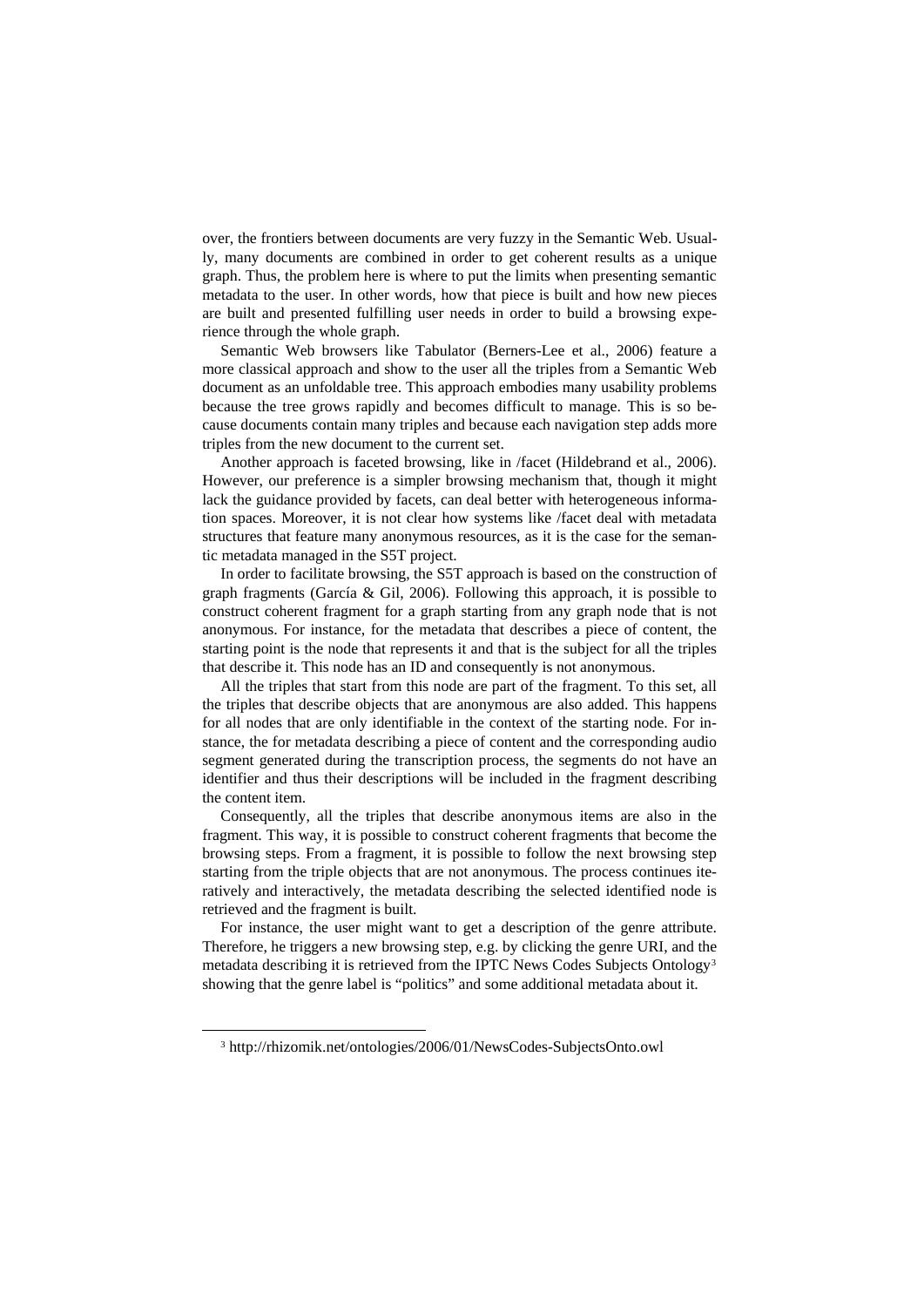over, the frontiers between documents are very fuzzy in the Semantic Web. Usually, many documents are combined in order to get coherent results as a unique graph. Thus, the problem here is where to put the limits when presenting semantic metadata to the user. In other words, how that piece is built and how new pieces are built and presented fulfilling user needs in order to build a browsing experience through the whole graph.

Semantic Web browsers like Tabulator (Berners-Lee et al., 2006) feature a more classical approach and show to the user all the triples from a Semantic Web document as an unfoldable tree. This approach embodies many usability problems because the tree grows rapidly and becomes difficult to manage. This is so because documents contain many triples and because each navigation step adds more triples from the new document to the current set.

Another approach is faceted browsing, like in /facet (Hildebrand et al., 2006). However, our preference is a simpler browsing mechanism that, though it might lack the guidance provided by facets, can deal better with heterogeneous information spaces. Moreover, it is not clear how systems like /facet deal with metadata structures that feature many anonymous resources, as it is the case for the semantic metadata managed in the S5T project.

In order to facilitate browsing, the S5T approach is based on the construction of graph fragments (García & Gil, 2006). Following this approach, it is possible to construct coherent fragment for a graph starting from any graph node that is not anonymous. For instance, for the metadata that describes a piece of content, the starting point is the node that represents it and that is the subject for all the triples that describe it. This node has an ID and consequently is not anonymous.

All the triples that start from this node are part of the fragment. To this set, all the triples that describe objects that are anonymous are also added. This happens for all nodes that are only identifiable in the context of the starting node. For instance, the for metadata describing a piece of content and the corresponding audio segment generated during the transcription process, the segments do not have an identifier and thus their descriptions will be included in the fragment describing the content item.

Consequently, all the triples that describe anonymous items are also in the fragment. This way, it is possible to construct coherent fragments that become the browsing steps. From a fragment, it is possible to follow the next browsing step starting from the triple objects that are not anonymous. The process continues iteratively and interactively, the metadata describing the selected identified node is retrieved and the fragment is built.

For instance, the user might want to get a description of the genre attribute. Therefore, he triggers a new browsing step, e.g. by clicking the genre URI, and the metadata describing it is retrieved from the IPTC News Codes Subjects Ontology<sup>3</sup> showing that the genre label is "politics" and some additional metadata about it.

 <sup>3</sup> http://rhizomik.net/ontologies/2006/01/NewsCodes-SubjectsOnto.owl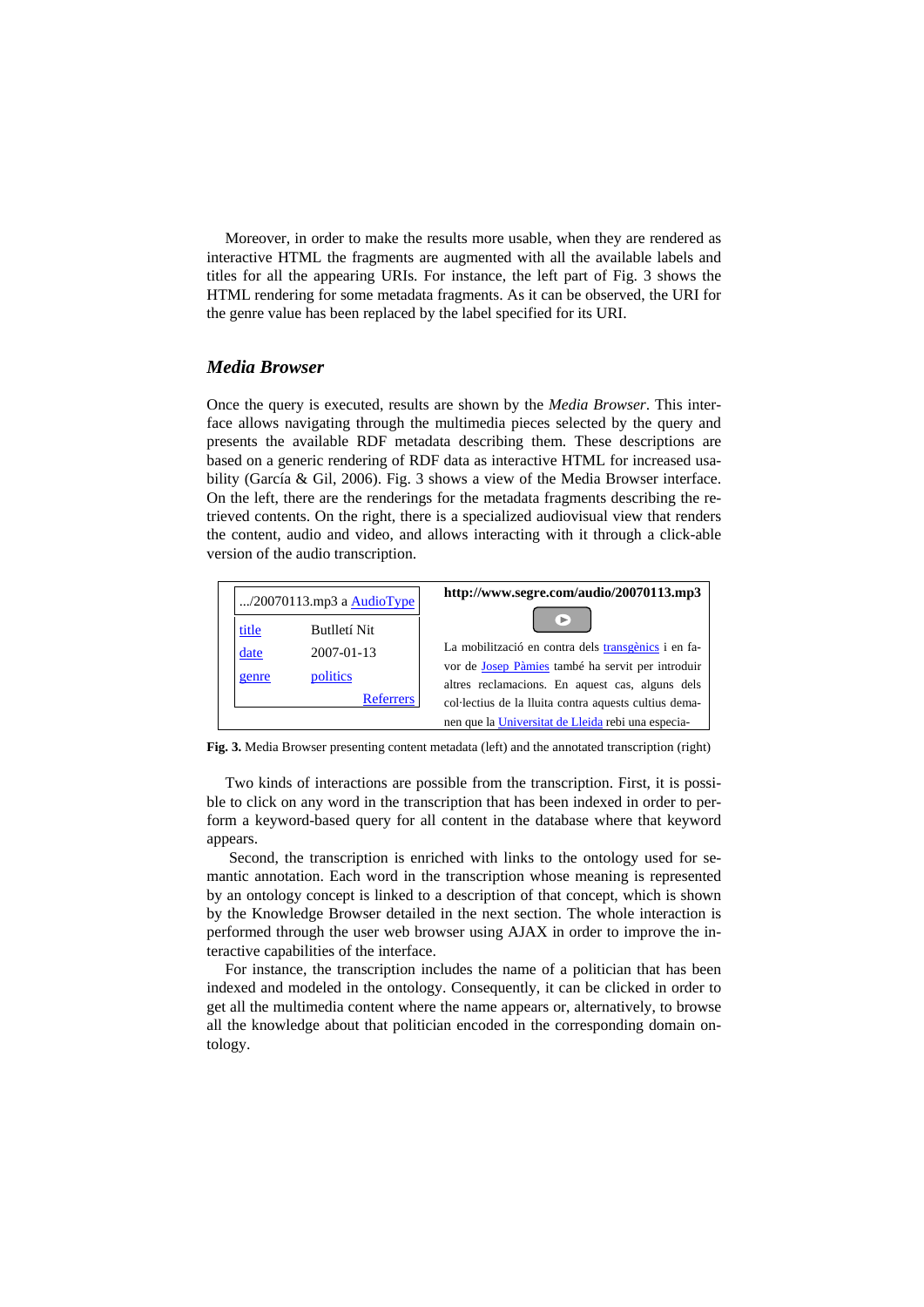Moreover, in order to make the results more usable, when they are rendered as interactive HTML the fragments are augmented with all the available labels and titles for all the appearing URIs. For instance, the left part of Fig. 3 shows the HTML rendering for some metadata fragments. As it can be observed, the URI for the genre value has been replaced by the label specified for its URI.

## *Media Browser*

Once the query is executed, results are shown by the *Media Browser*. This interface allows navigating through the multimedia pieces selected by the query and presents the available RDF metadata describing them. These descriptions are based on a generic rendering of RDF data as interactive HTML for increased usability (García & Gil, 2006). Fig. 3 shows a view of the Media Browser interface. On the left, there are the renderings for the metadata fragments describing the retrieved contents. On the right, there is a specialized audiovisual view that renders the content, audio and video, and allows interacting with it through a click-able version of the audio transcription.



**Fig. 3.** Media Browser presenting content metadata (left) and the annotated transcription (right)

Two kinds of interactions are possible from the transcription. First, it is possible to click on any word in the transcription that has been indexed in order to perform a keyword-based query for all content in the database where that keyword appears.

 Second, the transcription is enriched with links to the ontology used for semantic annotation. Each word in the transcription whose meaning is represented by an ontology concept is linked to a description of that concept, which is shown by the Knowledge Browser detailed in the next section. The whole interaction is performed through the user web browser using AJAX in order to improve the interactive capabilities of the interface.

For instance, the transcription includes the name of a politician that has been indexed and modeled in the ontology. Consequently, it can be clicked in order to get all the multimedia content where the name appears or, alternatively, to browse all the knowledge about that politician encoded in the corresponding domain ontology.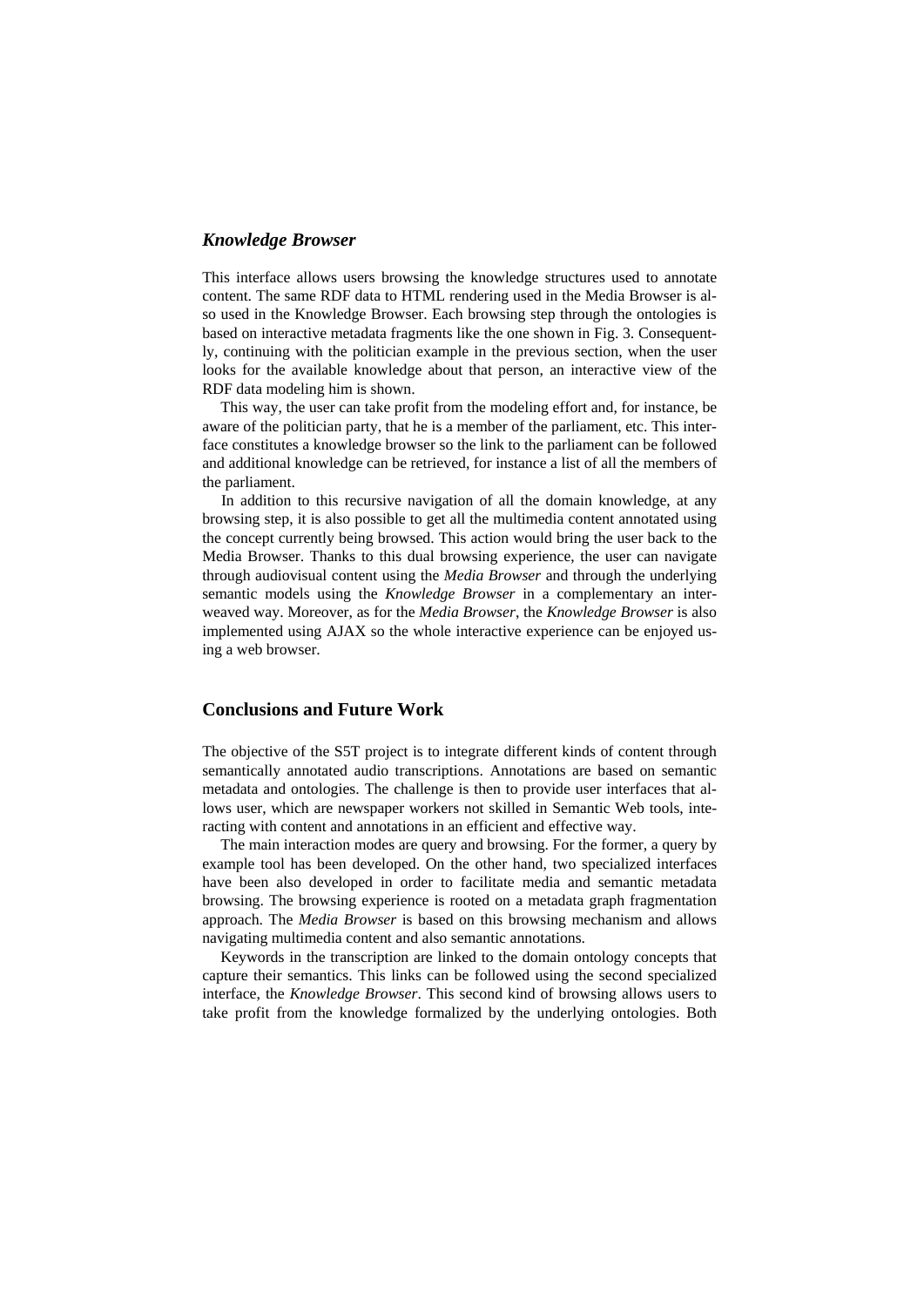### *Knowledge Browser*

This interface allows users browsing the knowledge structures used to annotate content. The same RDF data to HTML rendering used in the Media Browser is also used in the Knowledge Browser. Each browsing step through the ontologies is based on interactive metadata fragments like the one shown in Fig. 3. Consequently, continuing with the politician example in the previous section, when the user looks for the available knowledge about that person, an interactive view of the RDF data modeling him is shown.

This way, the user can take profit from the modeling effort and, for instance, be aware of the politician party, that he is a member of the parliament, etc. This interface constitutes a knowledge browser so the link to the parliament can be followed and additional knowledge can be retrieved, for instance a list of all the members of the parliament.

In addition to this recursive navigation of all the domain knowledge, at any browsing step, it is also possible to get all the multimedia content annotated using the concept currently being browsed. This action would bring the user back to the Media Browser. Thanks to this dual browsing experience, the user can navigate through audiovisual content using the *Media Browser* and through the underlying semantic models using the *Knowledge Browser* in a complementary an interweaved way. Moreover, as for the *Media Browser*, the *Knowledge Browser* is also implemented using AJAX so the whole interactive experience can be enjoyed using a web browser.

## **Conclusions and Future Work**

The objective of the S5T project is to integrate different kinds of content through semantically annotated audio transcriptions. Annotations are based on semantic metadata and ontologies. The challenge is then to provide user interfaces that allows user, which are newspaper workers not skilled in Semantic Web tools, interacting with content and annotations in an efficient and effective way.

The main interaction modes are query and browsing. For the former, a query by example tool has been developed. On the other hand, two specialized interfaces have been also developed in order to facilitate media and semantic metadata browsing. The browsing experience is rooted on a metadata graph fragmentation approach. The *Media Browser* is based on this browsing mechanism and allows navigating multimedia content and also semantic annotations.

Keywords in the transcription are linked to the domain ontology concepts that capture their semantics. This links can be followed using the second specialized interface, the *Knowledge Browser*. This second kind of browsing allows users to take profit from the knowledge formalized by the underlying ontologies. Both